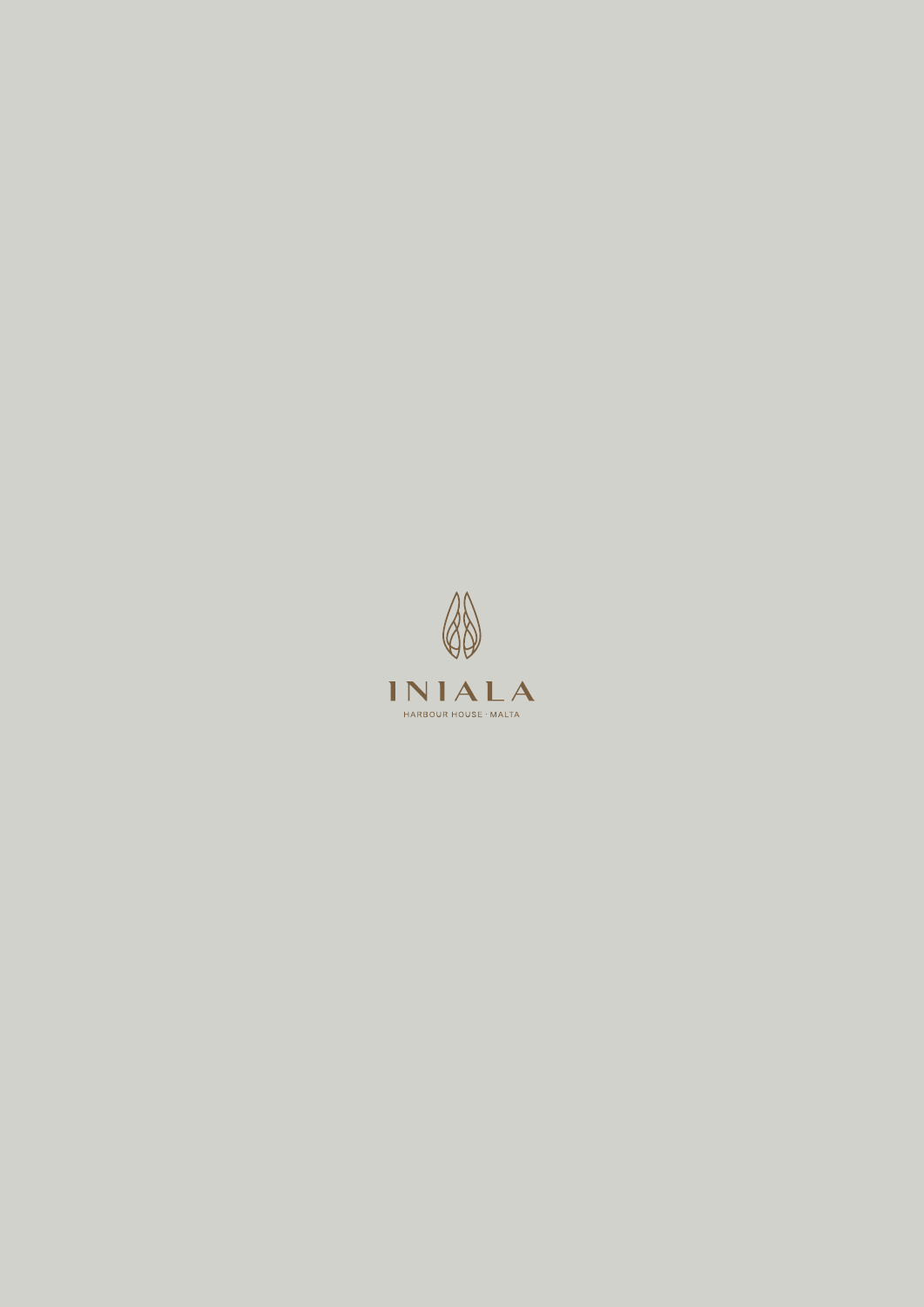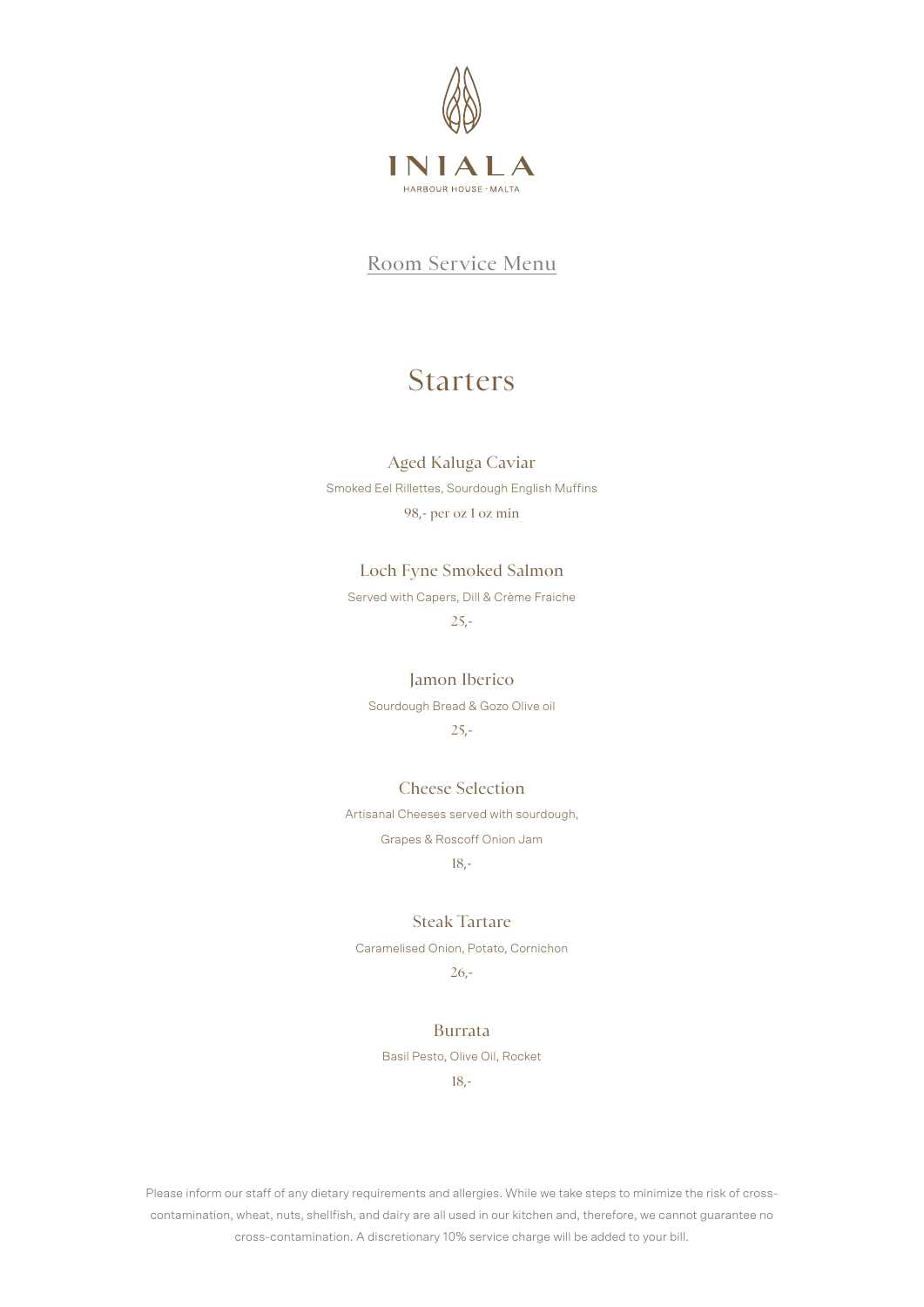

# Starters

#### Aged Kaluga Caviar

Smoked Eel Rillettes, Sourdough English Muffins 98,- per oz 1 oz min

### Loch Fyne Smoked Salmon

Served with Capers, Dill & Crème Fraiche 25,-

#### Jamon Iberico

Sourdough Bread & Gozo Olive oil

25,-

#### Cheese Selection

Artisanal Cheeses served with sourdough, Grapes & Roscoff Onion Jam 18,-

### Steak Tartare

Caramelised Onion, Potato, Cornichon

26,-

#### Burrata

Basil Pesto, Olive Oil, Rocket

18,-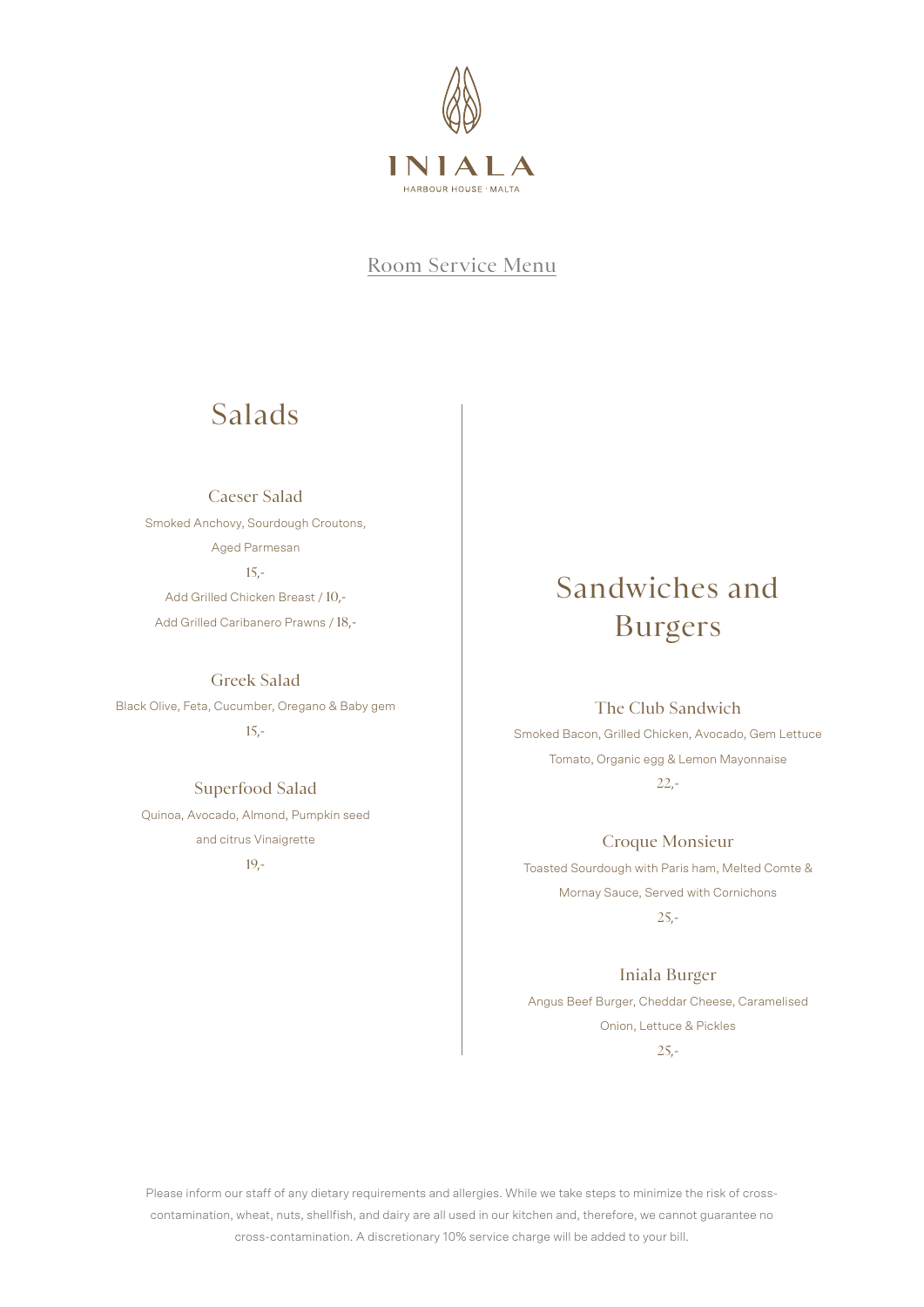

# Salads

Caeser Salad Smoked Anchovy, Sourdough Croutons, Aged Parmesan 15,-

Add Grilled Chicken Breast / 10,- Add Grilled Caribanero Prawns / 18,-

Greek Salad

Black Olive, Feta, Cucumber, Oregano & Baby gem 15,-

#### Superfood Salad

Quinoa, Avocado, Almond, Pumpkin seed and citrus Vinaigrette 19,-

# Sandwiches and Burgers

### The Club Sandwich

Smoked Bacon, Grilled Chicken, Avocado, Gem Lettuce Tomato, Organic egg & Lemon Mayonnaise 22,-

### Croque Monsieur

Toasted Sourdough with Paris ham, Melted Comte & Mornay Sauce, Served with Cornichons 25,-

Iniala Burger

Angus Beef Burger, Cheddar Cheese, Caramelised Onion, Lettuce & Pickles 25,-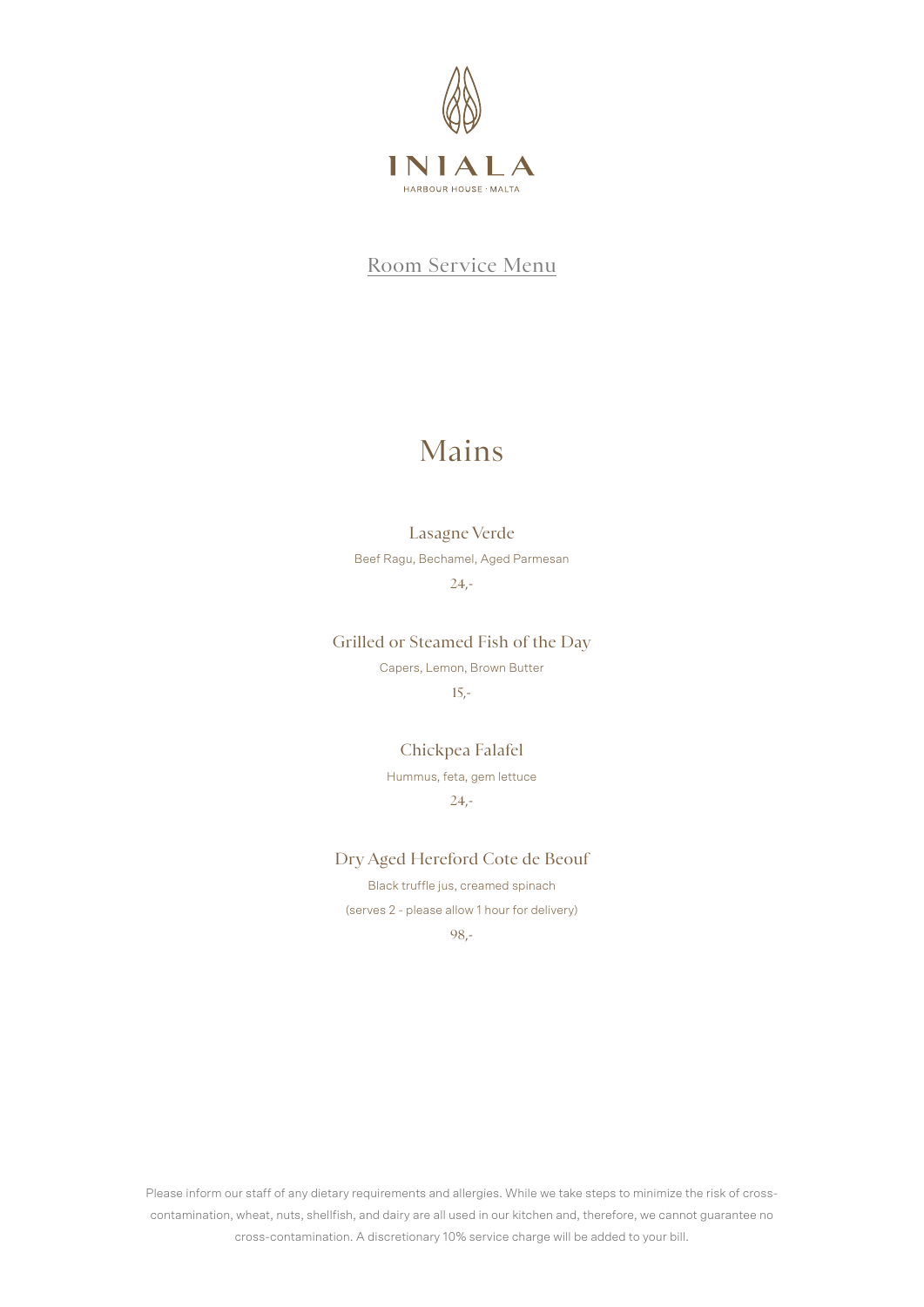

# Mains

### Lasagne Verde

Beef Ragu, Bechamel, Aged Parmesan

 $24,-$ 

Grilled or Steamed Fish of the Day

Capers, Lemon, Brown Butter 15,-

Chickpea Falafel Hummus, feta, gem lettuce  $24 -$ 

Dry Aged Hereford Cote de Beouf

Black truffle jus, creamed spinach (serves 2 - please allow 1 hour for delivery) 98,-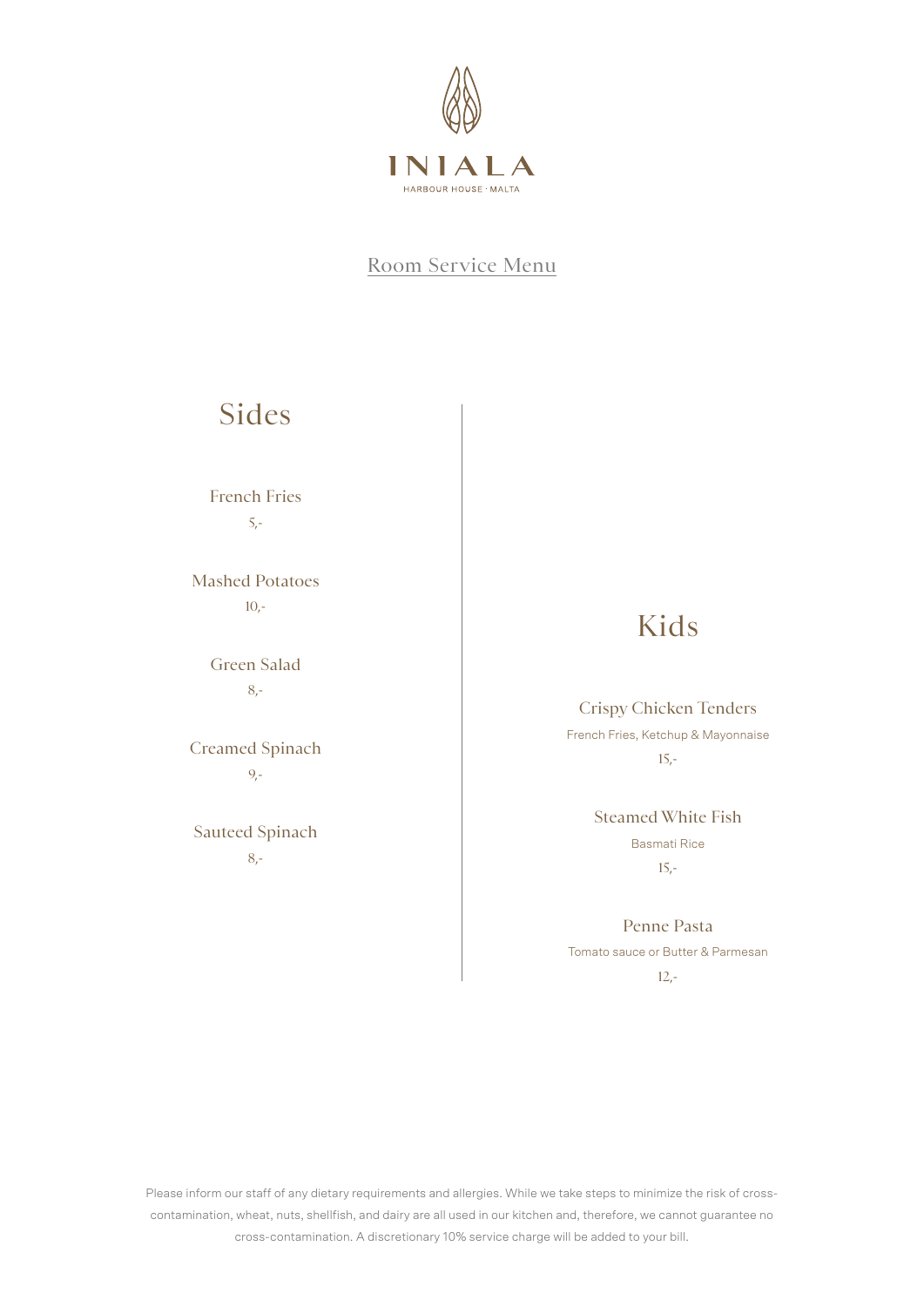

# Sides

French Fries 5,-

Mashed Potatoes  $10.5$ 

> Green Salad 8,-

Creamed Spinach 9,-

Sauteed Spinach 8,-

# Kids

### Crispy Chicken Tenders

French Fries, Ketchup & Mayonnaise 15,-

> Steamed White Fish Basmati Rice 15,-

Penne Pasta Tomato sauce or Butter & Parmesan 12,-